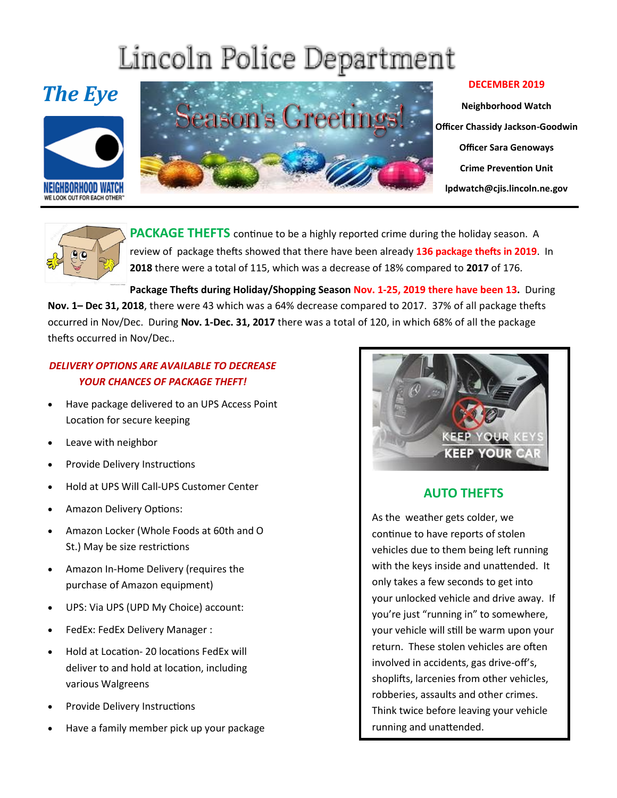## Lincoln Police Department







**Neighborhood Watch Officer Chassidy Jackson-Goodwin Officer Sara Genoways Crime Prevention Unit lpdwatch@cjis.lincoln.ne.gov**



**PACKAGE THEFTS** continue to be a highly reported crime during the holiday season. A review of package thefts showed that there have been already **136 package thefts in 2019**. In **2018** there were a total of 115, which was a decrease of 18% compared to **2017** of 176.

**Package Thefts during Holiday/Shopping Season Nov. 1-25, 2019 there have been 13.** During **Nov. 1– Dec 31, 2018**, there were 43 which was a 64% decrease compared to 2017. 37% of all package thefts occurred in Nov/Dec. During **Nov. 1-Dec. 31, 2017** there was a total of 120, in which 68% of all the package thefts occurred in Nov/Dec..

## *DELIVERY OPTIONS ARE AVAILABLE TO DECREASE YOUR CHANCES OF PACKAGE THEFT!*

- Have package delivered to an UPS Access Point Location for secure keeping
- Leave with neighbor
- **•** Provide Delivery Instructions
- Hold at UPS Will Call-UPS Customer Center
- Amazon Delivery Options:
- Amazon Locker (Whole Foods at 60th and O St.) May be size restrictions
- Amazon In-Home Delivery (requires the purchase of Amazon equipment)
- UPS: Via UPS (UPD My Choice) account:
- FedEx: FedEx Delivery Manager :
- Hold at Location- 20 locations FedEx will deliver to and hold at location, including various Walgreens
- Provide Delivery Instructions
- Have a family member pick up your package



## **AUTO THEFTS**

As the weather gets colder, we continue to have reports of stolen vehicles due to them being left running with the keys inside and unattended. It only takes a few seconds to get into your unlocked vehicle and drive away. If you're just "running in" to somewhere, your vehicle will still be warm upon your return. These stolen vehicles are often involved in accidents, gas drive-off's, shoplifts, larcenies from other vehicles, robberies, assaults and other crimes. Think twice before leaving your vehicle running and unattended.